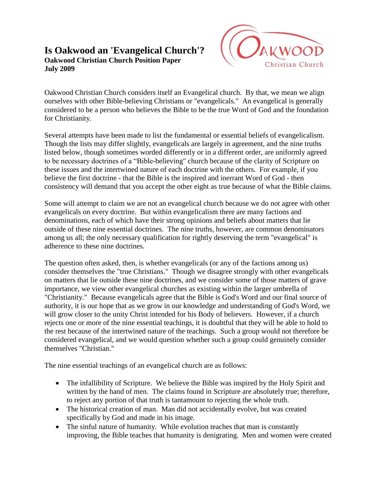## **Is Oakwood an 'Evangelical Church'? Oakwood Christian Church Position Paper July 2009**



Oakwood Christian Church considers itself an Evangelical church. By that, we mean we align ourselves with other Bible-believing Christians or "evangelicals." An evangelical is generally considered to be a person who believes the Bible to be the true Word of God and the foundation for Christianity.

Several attempts have been made to list the fundamental or essential beliefs of evangelicalism. Though the lists may differ slightly, evangelicals are largely in agreement, and the nine truths listed below, though sometimes worded differently or in a different order, are uniformly agreed to be necessary doctrines of a "Bible-believing" church because of the clarity of Scripture on these issues and the intertwined nature of each doctrine with the others. For example, if you believe the first doctrine - that the Bible is the inspired and inerrant Word of God - then consistency will demand that you accept the other eight as true because of what the Bible claims.

Some will attempt to claim we are not an evangelical church because we do not agree with other evangelicals on every doctrine. But within evangelicalism there are many factions and denominations, each of which have their strong opinions and beliefs about matters that lie outside of these nine essential doctrines. The nine truths, however, are common denominators among us all; the only necessary qualification for rightly deserving the term "evangelical" is adherence to these nine doctrines.

The question often asked, then, is whether evangelicals (or any of the factions among us) consider themselves the "true Christians." Though we disagree strongly with other evangelicals on matters that lie outside these nine doctrines, and we consider some of those matters of grave importance, we view other evangelical churches as existing within the larger umbrella of "Christianity." Because evangelicals agree that the Bible is God's Word and our final source of authority, it is our hope that as we grow in our knowledge and understanding of God's Word, we will grow closer to the unity Christ intended for his Body of believers. However, if a church rejects one or more of the nine essential teachings, it is doubtful that they will be able to hold to the rest because of the intertwined nature of the teachings. Such a group would not therefore be considered evangelical, and we would question whether such a group could genuinely consider themselves "Christian."

The nine essential teachings of an evangelical church are as follows:

- The infallibility of Scripture. We believe the Bible was inspired by the Holy Spirit and written by the hand of men. The claims found in Scripture are absolutely true; therefore, to reject any portion of that truth is tantamount to rejecting the whole truth.
- The historical creation of man. Man did not accidentally evolve, but was created specifically by God and made in his image.
- The sinful nature of humanity. While evolution teaches that man is constantly improving, the Bible teaches that humanity is denigrating. Men and women were created